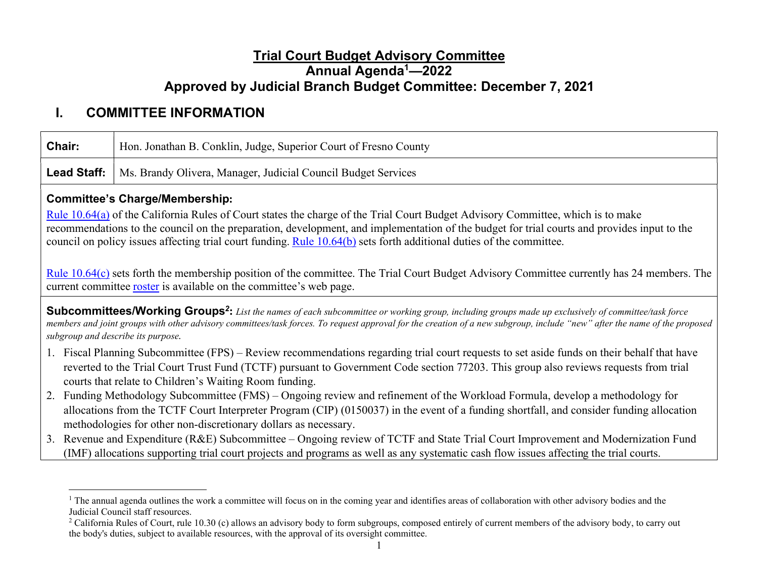## Trial Court Budget Advisory Committee Annual Agenda<sup>1</sup>—2022 Approved by Judicial Branch Budget Committee: December 7, 2021

# I. COMMITTEE INFORMATION

| Chair:             | Hon. Jonathan B. Conklin, Judge, Superior Court of Fresno County                                                                                                                                                                                                                                                                                                                                       |  |  |
|--------------------|--------------------------------------------------------------------------------------------------------------------------------------------------------------------------------------------------------------------------------------------------------------------------------------------------------------------------------------------------------------------------------------------------------|--|--|
| <b>Lead Staff:</b> | Ms. Brandy Olivera, Manager, Judicial Council Budget Services                                                                                                                                                                                                                                                                                                                                          |  |  |
|                    | <b>Committee's Charge/Membership:</b>                                                                                                                                                                                                                                                                                                                                                                  |  |  |
|                    | Rule 10.64(a) of the California Rules of Court states the charge of the Trial Court Budget Advisory Committee, which is to make<br>recommendations to the council on the preparation, development, and implementation of the budget for trial courts and provides input to the<br>council on policy issues affecting trial court funding. Rule 10.64(b) sets forth additional duties of the committee. |  |  |
|                    | Rule 10.64(c) sets forth the membership position of the committee. The Trial Court Budget Advisory Committee currently has 24 members. The<br>current committee roster is available on the committee's web page.                                                                                                                                                                                       |  |  |
|                    | Subcommittees/Working Groups <sup>2</sup> : List the names of each subcommittee or working group, including groups made up exclusively of committee/task force<br>members and joint groups with other advisory committees/task forces. To request approval for the creation of a new subgroup, include "new" after the name of the proposed<br>subgroup and describe its purpose.                      |  |  |
|                    | 1. Fiscal Planning Subcommittee (FPS) – Review recommendations regarding trial court requests to set aside funds on their behalf that have<br>reverted to the Trial Court Trust Fund (TCTF) pursuant to Government Code section 77203. This group also reviews requests from trial<br>courts that relate to Children's Waiting Room funding.                                                           |  |  |
| 2.                 | Funding Methodology Subcommittee (FMS) – Ongoing review and refinement of the Workload Formula, develop a methodology for<br>allocations from the TCTF Court Interpreter Program (CIP) (0150037) in the event of a funding shortfall, and consider funding allocation<br>methodologies for other non-discretionary dollars as necessary.                                                               |  |  |
| 3.                 | Revenue and Expenditure (R&E) Subcommittee – Ongoing review of TCTF and State Trial Court Improvement and Modernization Fund<br>(IMF) allocations supporting trial court projects and programs as well as any systematic cash flow issues affecting the trial courts.                                                                                                                                  |  |  |
|                    |                                                                                                                                                                                                                                                                                                                                                                                                        |  |  |

<sup>&</sup>lt;sup>1</sup> The annual agenda outlines the work a committee will focus on in the coming year and identifies areas of collaboration with other advisory bodies and the Judicial Council staff resources.

<sup>&</sup>lt;sup>2</sup> California Rules of Court, rule 10.30 (c) allows an advisory body to form subgroups, composed entirely of current members of the advisory body, to carry out the body's duties, subject to available resources, with the approval of its oversight committee.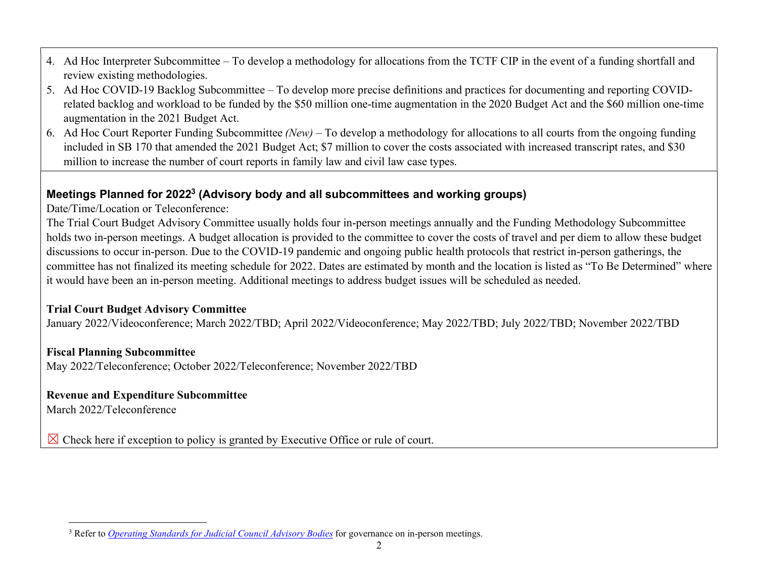- 4. Ad Hoc Interpreter Subcommittee To develop a methodology for allocations from the TCTF CIP in the event of a funding shortfall and review existing methodologies.
- 5. Ad Hoc COVID-19 Backlog Subcommittee To develop more precise definitions and practices for documenting and reporting COVIDrelated backlog and workload to be funded by the \$50 million one-time augmentation in the 2020 Budget Act and the \$60 million one-time augmentation in the 2021 Budget Act.
- 6. Ad Hoc Court Reporter Funding Subcommittee (New) To develop a methodology for allocations to all courts from the ongoing funding included in SB 170 that amended the 2021 Budget Act; \$7 million to cover the costs associated with increased transcript rates, and \$30 million to increase the number of court reports in family law and civil law case types.

### Meetings Planned for 2022<sup>3</sup> (Advisory body and all subcommittees and working groups)

Date/Time/Location or Teleconference:

The Trial Court Budget Advisory Committee usually holds four in-person meetings annually and the Funding Methodology Subcommittee holds two in-person meetings. A budget allocation is provided to the committee to cover the costs of travel and per diem to allow these budget discussions to occur in-person. Due to the COVID-19 pandemic and ongoing public health protocols that restrict in-person gatherings, the committee has not finalized its meeting schedule for 2022. Dates are estimated by month and the location is listed as "To Be Determined" where it would have been an in-person meeting. Additional meetings to address budget issues will be scheduled as needed.

### Trial Court Budget Advisory Committee

January 2022/Videoconference; March 2022/TBD; April 2022/Videoconference; May 2022/TBD; July 2022/TBD; November 2022/TBD

## Fiscal Planning Subcommittee

May 2022/Teleconference; October 2022/Teleconference; November 2022/TBD

## Revenue and Expenditure Subcommittee

March 2022/Teleconference

 $\boxtimes$  Check here if exception to policy is granted by Executive Office or rule of court.

<sup>&</sup>lt;sup>3</sup> Refer to *Operating Standards for Judicial Council Advisory Bodies* for governance on in-person meetings.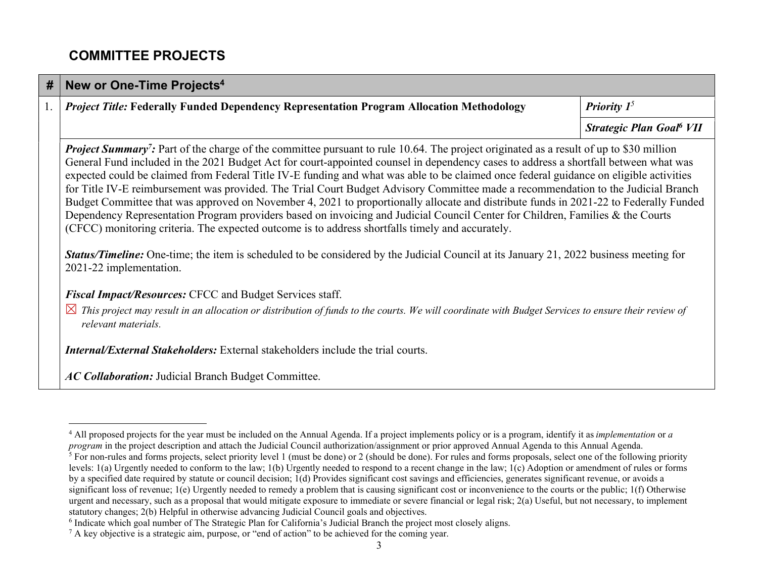# COMMITTEE PROJECTS

| #  | New or One-Time Projects <sup>4</sup>                                                                                                                                                                                                                                                                                                                                                                                                                                                                                                                                                                                                                                                                                                                                                                                                                                                                                                                                                                                                                                                                                           |                                            |  |
|----|---------------------------------------------------------------------------------------------------------------------------------------------------------------------------------------------------------------------------------------------------------------------------------------------------------------------------------------------------------------------------------------------------------------------------------------------------------------------------------------------------------------------------------------------------------------------------------------------------------------------------------------------------------------------------------------------------------------------------------------------------------------------------------------------------------------------------------------------------------------------------------------------------------------------------------------------------------------------------------------------------------------------------------------------------------------------------------------------------------------------------------|--------------------------------------------|--|
| 1. | <b>Project Title: Federally Funded Dependency Representation Program Allocation Methodology</b>                                                                                                                                                                                                                                                                                                                                                                                                                                                                                                                                                                                                                                                                                                                                                                                                                                                                                                                                                                                                                                 | <b>Priority</b> $I^5$                      |  |
|    |                                                                                                                                                                                                                                                                                                                                                                                                                                                                                                                                                                                                                                                                                                                                                                                                                                                                                                                                                                                                                                                                                                                                 | <b>Strategic Plan Goal<sup>6</sup> VII</b> |  |
|    | <b>Project Summary</b> ? Part of the charge of the committee pursuant to rule 10.64. The project originated as a result of up to \$30 million<br>General Fund included in the 2021 Budget Act for court-appointed counsel in dependency cases to address a shortfall between what was<br>expected could be claimed from Federal Title IV-E funding and what was able to be claimed once federal guidance on eligible activities<br>for Title IV-E reimbursement was provided. The Trial Court Budget Advisory Committee made a recommendation to the Judicial Branch<br>Budget Committee that was approved on November 4, 2021 to proportionally allocate and distribute funds in 2021-22 to Federally Funded<br>Dependency Representation Program providers based on invoicing and Judicial Council Center for Children, Families & the Courts<br>(CFCC) monitoring criteria. The expected outcome is to address shortfalls timely and accurately.<br><b>Status/Timeline:</b> One-time; the item is scheduled to be considered by the Judicial Council at its January 21, 2022 business meeting for<br>2021-22 implementation. |                                            |  |
|    | Fiscal Impact/Resources: CFCC and Budget Services staff.                                                                                                                                                                                                                                                                                                                                                                                                                                                                                                                                                                                                                                                                                                                                                                                                                                                                                                                                                                                                                                                                        |                                            |  |
|    | $\boxtimes$ This project may result in an allocation or distribution of funds to the courts. We will coordinate with Budget Services to ensure their review of<br>relevant materials.                                                                                                                                                                                                                                                                                                                                                                                                                                                                                                                                                                                                                                                                                                                                                                                                                                                                                                                                           |                                            |  |
|    | <b>Internal/External Stakeholders:</b> External stakeholders include the trial courts.                                                                                                                                                                                                                                                                                                                                                                                                                                                                                                                                                                                                                                                                                                                                                                                                                                                                                                                                                                                                                                          |                                            |  |
|    | <b>AC Collaboration:</b> Judicial Branch Budget Committee.                                                                                                                                                                                                                                                                                                                                                                                                                                                                                                                                                                                                                                                                                                                                                                                                                                                                                                                                                                                                                                                                      |                                            |  |

<sup>&</sup>lt;sup>4</sup> All proposed projects for the year must be included on the Annual Agenda. If a project implements policy or is a program, identify it as *implementation* or a program in the project description and attach the Judicial Council authorization/assignment or prior approved Annual Agenda to this Annual Agenda.

<sup>&</sup>lt;sup>5</sup> For non-rules and forms projects, select priority level 1 (must be done) or 2 (should be done). For rules and forms proposals, select one of the following priority levels: 1(a) Urgently needed to conform to the law; 1(b) Urgently needed to respond to a recent change in the law; 1(c) Adoption or amendment of rules or forms by a specified date required by statute or council decision; 1(d) Provides significant cost savings and efficiencies, generates significant revenue, or avoids a significant loss of revenue; 1(e) Urgently needed to remedy a problem that is causing significant cost or inconvenience to the courts or the public; 1(f) Otherwise urgent and necessary, such as a proposal that would mitigate exposure to immediate or severe financial or legal risk; 2(a) Useful, but not necessary, to implement statutory changes; 2(b) Helpful in otherwise advancing Judicial Council goals and objectives.

<sup>&</sup>lt;sup>6</sup> Indicate which goal number of The Strategic Plan for California's Judicial Branch the project most closely aligns.

 $^7$  A key objective is a strategic aim, purpose, or "end of action" to be achieved for the coming year.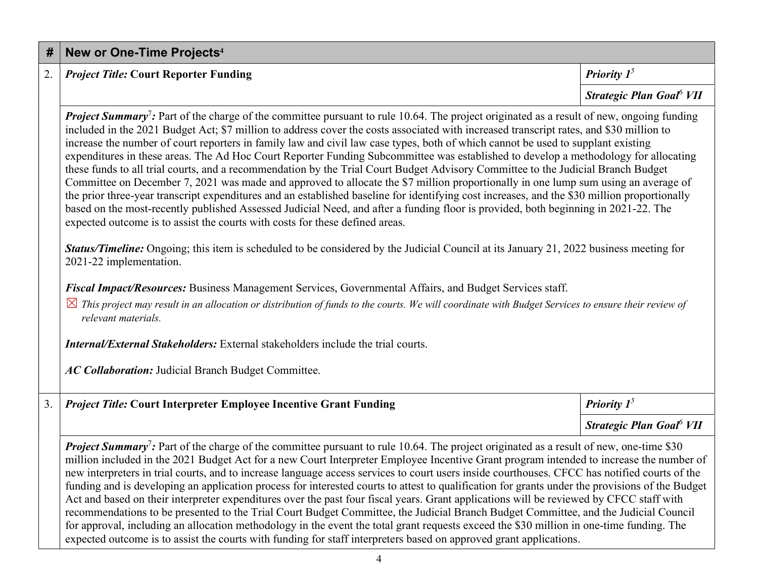|                                                                                                                                                                                                                                                                                                                                                                                                                                                                                                                                                                                                                                                                                                                                                                                                                                                                                                                                                                                                                                                                                                                                                                                                                                    | Strategic Plan Goal <sup>6</sup> VII       |  |
|------------------------------------------------------------------------------------------------------------------------------------------------------------------------------------------------------------------------------------------------------------------------------------------------------------------------------------------------------------------------------------------------------------------------------------------------------------------------------------------------------------------------------------------------------------------------------------------------------------------------------------------------------------------------------------------------------------------------------------------------------------------------------------------------------------------------------------------------------------------------------------------------------------------------------------------------------------------------------------------------------------------------------------------------------------------------------------------------------------------------------------------------------------------------------------------------------------------------------------|--------------------------------------------|--|
| <b>Project Summary</b> <sup>7</sup> : Part of the charge of the committee pursuant to rule 10.64. The project originated as a result of new, ongoing funding<br>included in the 2021 Budget Act; \$7 million to address cover the costs associated with increased transcript rates, and \$30 million to<br>increase the number of court reporters in family law and civil law case types, both of which cannot be used to supplant existing<br>expenditures in these areas. The Ad Hoc Court Reporter Funding Subcommittee was established to develop a methodology for allocating<br>these funds to all trial courts, and a recommendation by the Trial Court Budget Advisory Committee to the Judicial Branch Budget<br>Committee on December 7, 2021 was made and approved to allocate the \$7 million proportionally in one lump sum using an average of<br>the prior three-year transcript expenditures and an established baseline for identifying cost increases, and the \$30 million proportionally<br>based on the most-recently published Assessed Judicial Need, and after a funding floor is provided, both beginning in 2021-22. The<br>expected outcome is to assist the courts with costs for these defined areas. |                                            |  |
| Status/Timeline: Ongoing; this item is scheduled to be considered by the Judicial Council at its January 21, 2022 business meeting for<br>2021-22 implementation.                                                                                                                                                                                                                                                                                                                                                                                                                                                                                                                                                                                                                                                                                                                                                                                                                                                                                                                                                                                                                                                                  |                                            |  |
| Fiscal Impact/Resources: Business Management Services, Governmental Affairs, and Budget Services staff.                                                                                                                                                                                                                                                                                                                                                                                                                                                                                                                                                                                                                                                                                                                                                                                                                                                                                                                                                                                                                                                                                                                            |                                            |  |
| $\boxtimes$ This project may result in an allocation or distribution of funds to the courts. We will coordinate with Budget Services to ensure their review of<br>relevant materials.                                                                                                                                                                                                                                                                                                                                                                                                                                                                                                                                                                                                                                                                                                                                                                                                                                                                                                                                                                                                                                              |                                            |  |
| <b>Internal/External Stakeholders:</b> External stakeholders include the trial courts.                                                                                                                                                                                                                                                                                                                                                                                                                                                                                                                                                                                                                                                                                                                                                                                                                                                                                                                                                                                                                                                                                                                                             |                                            |  |
| AC Collaboration: Judicial Branch Budget Committee.                                                                                                                                                                                                                                                                                                                                                                                                                                                                                                                                                                                                                                                                                                                                                                                                                                                                                                                                                                                                                                                                                                                                                                                |                                            |  |
| <b>Project Title: Court Interpreter Employee Incentive Grant Funding</b>                                                                                                                                                                                                                                                                                                                                                                                                                                                                                                                                                                                                                                                                                                                                                                                                                                                                                                                                                                                                                                                                                                                                                           | Priority $1^5$                             |  |
|                                                                                                                                                                                                                                                                                                                                                                                                                                                                                                                                                                                                                                                                                                                                                                                                                                                                                                                                                                                                                                                                                                                                                                                                                                    | <b>Strategic Plan Goal<sup>6</sup> VII</b> |  |
| <b>Project Summary</b> <sup>7</sup> : Part of the charge of the committee pursuant to rule 10.64. The project originated as a result of new, one-time \$30<br>million included in the 2021 Budget Act for a new Court Interpreter Employee Incentive Grant program intended to increase the number of<br>new interpreters in trial courts, and to increase language access services to court users inside courthouses. CFCC has notified courts of the<br>funding and is developing an application process for interested courts to attest to qualification for grants under the provisions of the Budget<br>Act and based on their interpreter expenditures over the past four fiscal years. Grant applications will be reviewed by CFCC staff with<br>recommendations to be presented to the Trial Court Budget Committee, the Judicial Branch Budget Committee, and the Judicial Council<br>for approval, including an allocation methodology in the event the total grant requests exceed the \$30 million in one-time funding. The                                                                                                                                                                                            |                                            |  |

2. *Project Title:* Court Reporter Funding  $\boxed{Priority \, 1^5}$ 

expected outcome is to assist the courts with funding for staff interpreters based on approved grant applications.

#  $\mid$  New or One-Time Projects $^4$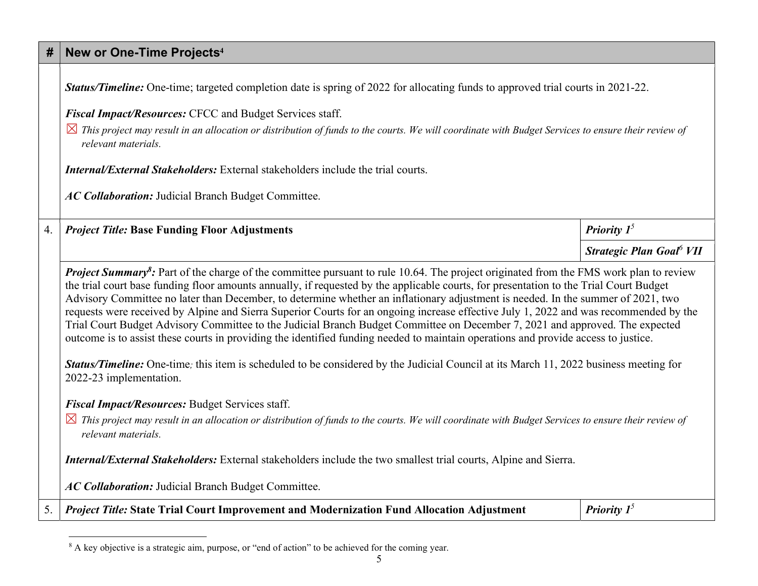## #  $\mid$  New or One-Time Projects $^4$

|    | Status/Timeline: One-time; targeted completion date is spring of 2022 for allocating funds to approved trial courts in 2021-22.                                                                                                                                                                                                                                                                                                                                                                                                                                                                                                                                                                                     |                                            |
|----|---------------------------------------------------------------------------------------------------------------------------------------------------------------------------------------------------------------------------------------------------------------------------------------------------------------------------------------------------------------------------------------------------------------------------------------------------------------------------------------------------------------------------------------------------------------------------------------------------------------------------------------------------------------------------------------------------------------------|--------------------------------------------|
|    | Fiscal Impact/Resources: CFCC and Budget Services staff.                                                                                                                                                                                                                                                                                                                                                                                                                                                                                                                                                                                                                                                            |                                            |
|    | $\boxtimes$ This project may result in an allocation or distribution of funds to the courts. We will coordinate with Budget Services to ensure their review of<br>relevant materials.                                                                                                                                                                                                                                                                                                                                                                                                                                                                                                                               |                                            |
|    | <b>Internal/External Stakeholders:</b> External stakeholders include the trial courts.                                                                                                                                                                                                                                                                                                                                                                                                                                                                                                                                                                                                                              |                                            |
|    | AC Collaboration: Judicial Branch Budget Committee.                                                                                                                                                                                                                                                                                                                                                                                                                                                                                                                                                                                                                                                                 |                                            |
| 4. | <b>Project Title: Base Funding Floor Adjustments</b>                                                                                                                                                                                                                                                                                                                                                                                                                                                                                                                                                                                                                                                                | Priority $1^5$                             |
|    |                                                                                                                                                                                                                                                                                                                                                                                                                                                                                                                                                                                                                                                                                                                     | <b>Strategic Plan Goal<sup>6</sup> VII</b> |
|    | Advisory Committee no later than December, to determine whether an inflationary adjustment is needed. In the summer of 2021, two<br>requests were received by Alpine and Sierra Superior Courts for an ongoing increase effective July 1, 2022 and was recommended by the<br>Trial Court Budget Advisory Committee to the Judicial Branch Budget Committee on December 7, 2021 and approved. The expected<br>outcome is to assist these courts in providing the identified funding needed to maintain operations and provide access to justice.<br>Status/Timeline: One-time; this item is scheduled to be considered by the Judicial Council at its March 11, 2022 business meeting for<br>2022-23 implementation. |                                            |
|    |                                                                                                                                                                                                                                                                                                                                                                                                                                                                                                                                                                                                                                                                                                                     |                                            |
|    | Fiscal Impact/Resources: Budget Services staff.<br>$\boxtimes$ This project may result in an allocation or distribution of funds to the courts. We will coordinate with Budget Services to ensure their review of                                                                                                                                                                                                                                                                                                                                                                                                                                                                                                   |                                            |
|    | relevant materials.                                                                                                                                                                                                                                                                                                                                                                                                                                                                                                                                                                                                                                                                                                 |                                            |
|    | Internal/External Stakeholders: External stakeholders include the two smallest trial courts, Alpine and Sierra.                                                                                                                                                                                                                                                                                                                                                                                                                                                                                                                                                                                                     |                                            |
|    | AC Collaboration: Judicial Branch Budget Committee.                                                                                                                                                                                                                                                                                                                                                                                                                                                                                                                                                                                                                                                                 |                                            |
| 5. | <i>Project Title:</i> State Trial Court Improvement and Modernization Fund Allocation Adjustment                                                                                                                                                                                                                                                                                                                                                                                                                                                                                                                                                                                                                    | <b>Priority</b> $I^5$                      |

<sup>&</sup>lt;sup>8</sup> A key objective is a strategic aim, purpose, or "end of action" to be achieved for the coming year.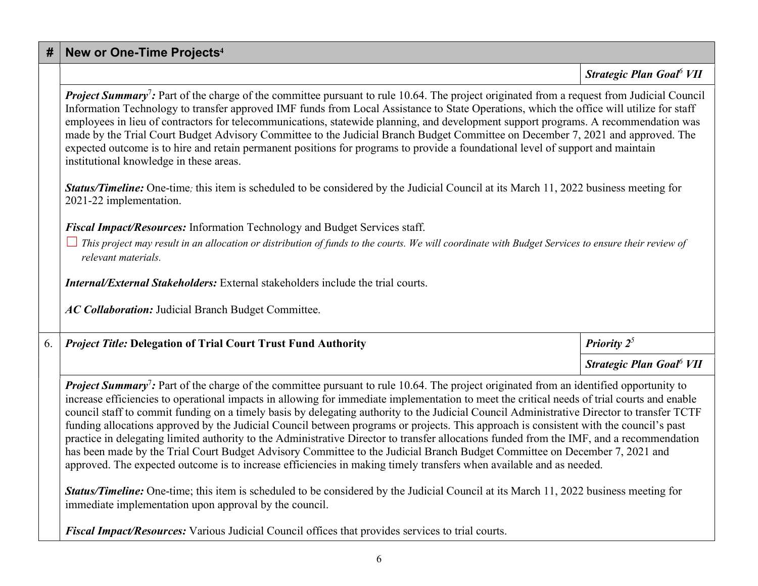#### #  $\mid$  New or One-Time Projects $^4$

Strategic Plan Goal<sup>6</sup> VII

Project Summary<sup>7</sup>: Part of the charge of the committee pursuant to rule 10.64. The project originated from a request from Judicial Council Information Technology to transfer approved IMF funds from Local Assistance to State Operations, which the office will utilize for staff employees in lieu of contractors for telecommunications, statewide planning, and development support programs. A recommendation was made by the Trial Court Budget Advisory Committee to the Judicial Branch Budget Committee on December 7, 2021 and approved. The expected outcome is to hire and retain permanent positions for programs to provide a foundational level of support and maintain institutional knowledge in these areas.

**Status/Timeline:** One-time; this item is scheduled to be considered by the Judicial Council at its March 11, 2022 business meeting for 2021-22 implementation.

Fiscal Impact/Resources: Information Technology and Budget Services staff.

 $\Box$  This project may result in an allocation or distribution of funds to the courts. We will coordinate with Budget Services to ensure their review of relevant materials.

Internal/External Stakeholders: External stakeholders include the trial courts.

AC Collaboration: Judicial Branch Budget Committee.

### 6. *Project Title:* Delegation of Trial Court Trust Fund Authority **Priorice Authority** Priority 2<sup>5</sup>

Strategic Plan Goal<sup>6</sup> VII

Project Summary<sup>7</sup>: Part of the charge of the committee pursuant to rule 10.64. The project originated from an identified opportunity to increase efficiencies to operational impacts in allowing for immediate implementation to meet the critical needs of trial courts and enable council staff to commit funding on a timely basis by delegating authority to the Judicial Council Administrative Director to transfer TCTF funding allocations approved by the Judicial Council between programs or projects. This approach is consistent with the council's past practice in delegating limited authority to the Administrative Director to transfer allocations funded from the IMF, and a recommendation has been made by the Trial Court Budget Advisory Committee to the Judicial Branch Budget Committee on December 7, 2021 and approved. The expected outcome is to increase efficiencies in making timely transfers when available and as needed.

Status/Timeline: One-time; this item is scheduled to be considered by the Judicial Council at its March 11, 2022 business meeting for immediate implementation upon approval by the council.

Fiscal Impact/Resources: Various Judicial Council offices that provides services to trial courts.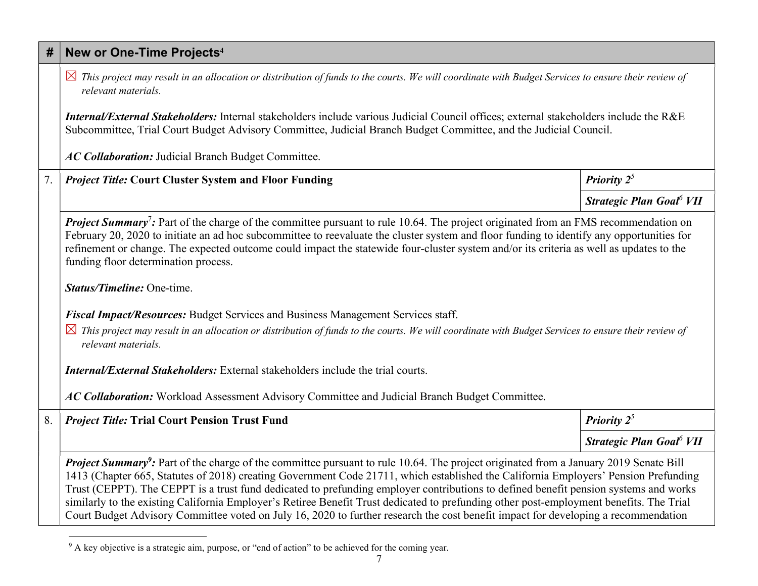## #  $\mid$  New or One-Time Projects $^4$

 $\boxtimes$  This project may result in an allocation or distribution of funds to the courts. We will coordinate with Budget Services to ensure their review of relevant materials.

Internal/External Stakeholders: Internal stakeholders include various Judicial Council offices; external stakeholders include the R&E Subcommittee, Trial Court Budget Advisory Committee, Judicial Branch Budget Committee, and the Judicial Council.

AC Collaboration: Judicial Branch Budget Committee.

#### 7. *Project Title:* Court Cluster System and Floor Funding Priority 2<sup>5</sup>

Strategic Plan Goal<sup>6</sup> VII

Project Summary<sup>7</sup>: Part of the charge of the committee pursuant to rule 10.64. The project originated from an FMS recommendation on February 20, 2020 to initiate an ad hoc subcommittee to reevaluate the cluster system and floor funding to identify any opportunities for refinement or change. The expected outcome could impact the statewide four-cluster system and/or its criteria as well as updates to the funding floor determination process.

Status/Timeline: One-time.

Fiscal Impact/Resources: Budget Services and Business Management Services staff.

 $\boxtimes$  This project may result in an allocation or distribution of funds to the courts. We will coordinate with Budget Services to ensure their review of relevant materials.

Internal/External Stakeholders: External stakeholders include the trial courts.

AC Collaboration: Workload Assessment Advisory Committee and Judicial Branch Budget Committee.

| 8. <i>Project Title:</i> Trial Court Pension Trust Fund | <b>Priority</b> $2^5$                   |
|---------------------------------------------------------|-----------------------------------------|
|                                                         | <i><b>Strategic Plan Goal</b></i> $VII$ |

Project Summary<sup>9</sup>: Part of the charge of the committee pursuant to rule 10.64. The project originated from a January 2019 Senate Bill 1413 (Chapter 665, Statutes of 2018) creating Government Code 21711, which established the California Employers' Pension Prefunding Trust (CEPPT). The CEPPT is a trust fund dedicated to prefunding employer contributions to defined benefit pension systems and works similarly to the existing California Employer's Retiree Benefit Trust dedicated to prefunding other post-employment benefits. The Trial Court Budget Advisory Committee voted on July 16, 2020 to further research the cost benefit impact for developing a recommendation

<sup>&</sup>lt;sup>9</sup> A key objective is a strategic aim, purpose, or "end of action" to be achieved for the coming year.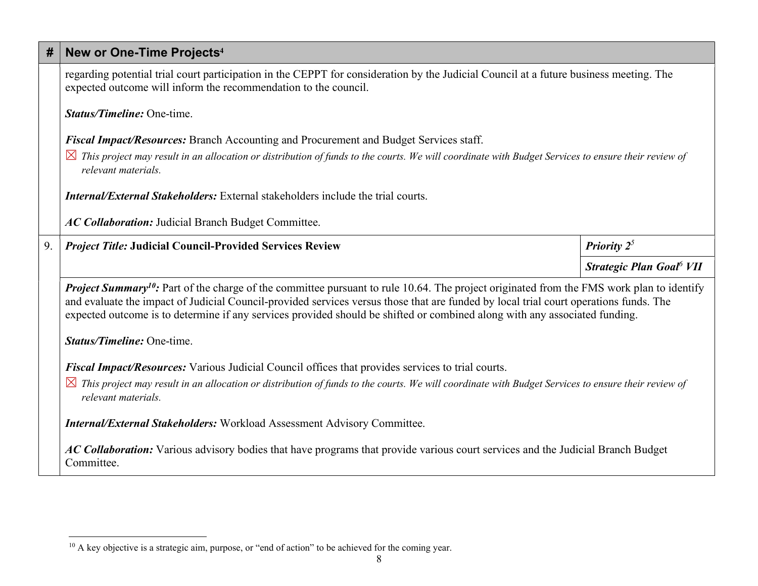| #  | New or One-Time Projects <sup>4</sup>                                                                                                                                                                                                                                                                                                                                                                                             |                                      |  |
|----|-----------------------------------------------------------------------------------------------------------------------------------------------------------------------------------------------------------------------------------------------------------------------------------------------------------------------------------------------------------------------------------------------------------------------------------|--------------------------------------|--|
|    | regarding potential trial court participation in the CEPPT for consideration by the Judicial Council at a future business meeting. The<br>expected outcome will inform the recommendation to the council.                                                                                                                                                                                                                         |                                      |  |
|    | Status/Timeline: One-time.                                                                                                                                                                                                                                                                                                                                                                                                        |                                      |  |
|    | Fiscal Impact/Resources: Branch Accounting and Procurement and Budget Services staff.                                                                                                                                                                                                                                                                                                                                             |                                      |  |
|    | $\boxtimes$ This project may result in an allocation or distribution of funds to the courts. We will coordinate with Budget Services to ensure their review of<br>relevant materials.                                                                                                                                                                                                                                             |                                      |  |
|    | <b>Internal/External Stakeholders:</b> External stakeholders include the trial courts.                                                                                                                                                                                                                                                                                                                                            |                                      |  |
|    | AC Collaboration: Judicial Branch Budget Committee.                                                                                                                                                                                                                                                                                                                                                                               |                                      |  |
| 9. | <b>Project Title: Judicial Council-Provided Services Review</b>                                                                                                                                                                                                                                                                                                                                                                   | <b>Priority</b> $2^5$                |  |
|    |                                                                                                                                                                                                                                                                                                                                                                                                                                   | Strategic Plan Goal <sup>6</sup> VII |  |
|    | <b>Project Summary<sup>10</sup>:</b> Part of the charge of the committee pursuant to rule 10.64. The project originated from the FMS work plan to identify<br>and evaluate the impact of Judicial Council-provided services versus those that are funded by local trial court operations funds. The<br>expected outcome is to determine if any services provided should be shifted or combined along with any associated funding. |                                      |  |
|    | Status/Timeline: One-time.                                                                                                                                                                                                                                                                                                                                                                                                        |                                      |  |
|    | Fiscal Impact/Resources: Various Judicial Council offices that provides services to trial courts.                                                                                                                                                                                                                                                                                                                                 |                                      |  |
|    | $\boxtimes$ This project may result in an allocation or distribution of funds to the courts. We will coordinate with Budget Services to ensure their review of<br>relevant materials.                                                                                                                                                                                                                                             |                                      |  |
|    | <b>Internal/External Stakeholders:</b> Workload Assessment Advisory Committee.                                                                                                                                                                                                                                                                                                                                                    |                                      |  |
|    | AC Collaboration: Various advisory bodies that have programs that provide various court services and the Judicial Branch Budget<br>Committee.                                                                                                                                                                                                                                                                                     |                                      |  |

<sup>&</sup>lt;sup>10</sup> A key objective is a strategic aim, purpose, or "end of action" to be achieved for the coming year.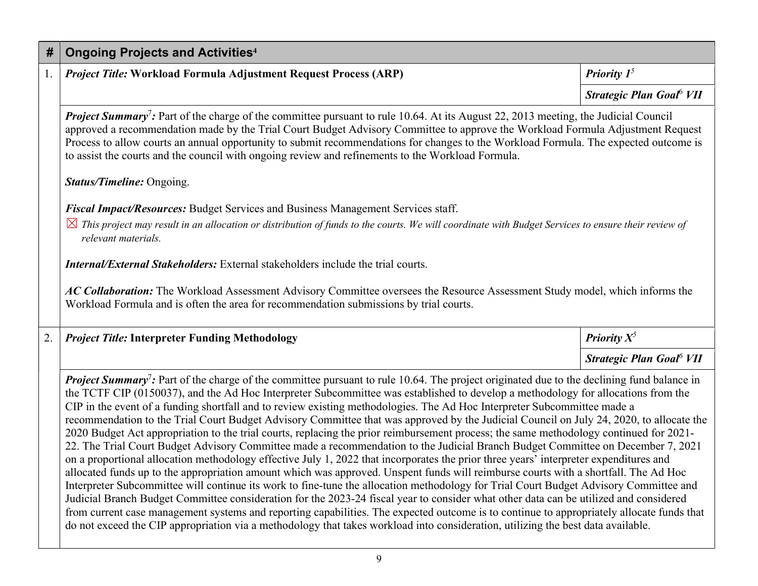| # | Ongoing Projects and Activities <sup>4</sup>                                                                                               |                                                    |
|---|--------------------------------------------------------------------------------------------------------------------------------------------|----------------------------------------------------|
|   | <i>Project Title:</i> Workload Formula Adjustment Request Process (ARP)                                                                    | <b>Priority</b> $I^5$                              |
|   |                                                                                                                                            | <i>Strategic Plan Goal</i> <sup>6</sup> <i>VII</i> |
|   | <b>Project Summary</b> ?: Part of the charge of the committee pursuant to rule 10.64. At its August 22, 2013 meeting, the Judicial Council |                                                    |

approved a recommendation made by the Trial Court Budget Advisory Committee to approve the Workload Formula Adjustment Request Process to allow courts an annual opportunity to submit recommendations for changes to the Workload Formula. The expected outcome is to assist the courts and the council with ongoing review and refinements to the Workload Formula.

#### Status/Timeline: Ongoing.

Fiscal Impact/Resources: Budget Services and Business Management Services staff.

 $\boxtimes$  This project may result in an allocation or distribution of funds to the courts. We will coordinate with Budget Services to ensure their review of relevant materials.

Internal/External Stakeholders: External stakeholders include the trial courts.

AC Collaboration: The Workload Assessment Advisory Committee oversees the Resource Assessment Study model, which informs the Workload Formula and is often the area for recommendation submissions by trial courts.

| 2.   Project Title: Interpreter Funding Methodology | <b>Priority</b> $X^5$                |
|-----------------------------------------------------|--------------------------------------|
|                                                     | Strategic Plan Goal <sup>6</sup> VII |

Project Summary<sup>7</sup>: Part of the charge of the committee pursuant to rule 10.64. The project originated due to the declining fund balance in the TCTF CIP (0150037), and the Ad Hoc Interpreter Subcommittee was established to develop a methodology for allocations from the CIP in the event of a funding shortfall and to review existing methodologies. The Ad Hoc Interpreter Subcommittee made a recommendation to the Trial Court Budget Advisory Committee that was approved by the Judicial Council on July 24, 2020, to allocate the 2020 Budget Act appropriation to the trial courts, replacing the prior reimbursement process; the same methodology continued for 2021- 22. The Trial Court Budget Advisory Committee made a recommendation to the Judicial Branch Budget Committee on December 7, 2021 on a proportional allocation methodology effective July 1, 2022 that incorporates the prior three years' interpreter expenditures and allocated funds up to the appropriation amount which was approved. Unspent funds will reimburse courts with a shortfall. The Ad Hoc Interpreter Subcommittee will continue its work to fine-tune the allocation methodology for Trial Court Budget Advisory Committee and Judicial Branch Budget Committee consideration for the 2023-24 fiscal year to consider what other data can be utilized and considered from current case management systems and reporting capabilities. The expected outcome is to continue to appropriately allocate funds that do not exceed the CIP appropriation via a methodology that takes workload into consideration, utilizing the best data available.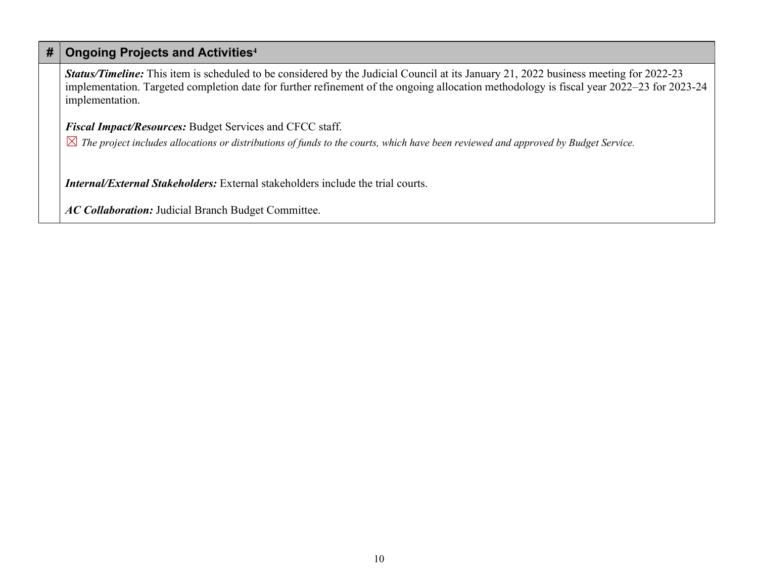## $#$  Ongoing Projects and Activities<sup>4</sup>

Status/Timeline: This item is scheduled to be considered by the Judicial Council at its January 21, 2022 business meeting for 2022-23 implementation. Targeted completion date for further refinement of the ongoing allocation methodology is fiscal year 2022–23 for 2023-24 implementation.

Fiscal Impact/Resources: Budget Services and CFCC staff.

 $\boxtimes$  The project includes allocations or distributions of funds to the courts, which have been reviewed and approved by Budget Service.

Internal/External Stakeholders: External stakeholders include the trial courts.

AC Collaboration: Judicial Branch Budget Committee.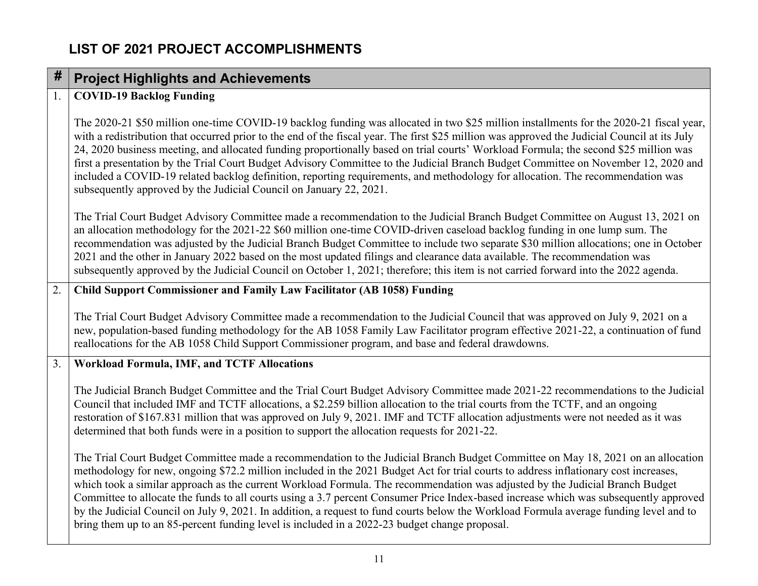# LIST OF 2021 PROJECT ACCOMPLISHMENTS

# $#$  Project Highlights and Achievements

#### 1. COVID-19 Backlog Funding

The 2020-21 \$50 million one-time COVID-19 backlog funding was allocated in two \$25 million installments for the 2020-21 fiscal year, with a redistribution that occurred prior to the end of the fiscal year. The first \$25 million was approved the Judicial Council at its July 24, 2020 business meeting, and allocated funding proportionally based on trial courts' Workload Formula; the second \$25 million was first a presentation by the Trial Court Budget Advisory Committee to the Judicial Branch Budget Committee on November 12, 2020 and included a COVID-19 related backlog definition, reporting requirements, and methodology for allocation. The recommendation was subsequently approved by the Judicial Council on January 22, 2021.

The Trial Court Budget Advisory Committee made a recommendation to the Judicial Branch Budget Committee on August 13, 2021 on an allocation methodology for the 2021-22 \$60 million one-time COVID-driven caseload backlog funding in one lump sum. The recommendation was adjusted by the Judicial Branch Budget Committee to include two separate \$30 million allocations; one in October 2021 and the other in January 2022 based on the most updated filings and clearance data available. The recommendation was subsequently approved by the Judicial Council on October 1, 2021; therefore; this item is not carried forward into the 2022 agenda.

#### 2. Child Support Commissioner and Family Law Facilitator (AB 1058) Funding

The Trial Court Budget Advisory Committee made a recommendation to the Judicial Council that was approved on July 9, 2021 on a new, population-based funding methodology for the AB 1058 Family Law Facilitator program effective 2021-22, a continuation of fund reallocations for the AB 1058 Child Support Commissioner program, and base and federal drawdowns.

#### 3. Workload Formula, IMF, and TCTF Allocations

The Judicial Branch Budget Committee and the Trial Court Budget Advisory Committee made 2021-22 recommendations to the Judicial Council that included IMF and TCTF allocations, a \$2.259 billion allocation to the trial courts from the TCTF, and an ongoing restoration of \$167.831 million that was approved on July 9, 2021. IMF and TCTF allocation adjustments were not needed as it was determined that both funds were in a position to support the allocation requests for 2021-22.

The Trial Court Budget Committee made a recommendation to the Judicial Branch Budget Committee on May 18, 2021 on an allocation methodology for new, ongoing \$72.2 million included in the 2021 Budget Act for trial courts to address inflationary cost increases, which took a similar approach as the current Workload Formula. The recommendation was adjusted by the Judicial Branch Budget Committee to allocate the funds to all courts using a 3.7 percent Consumer Price Index-based increase which was subsequently approved by the Judicial Council on July 9, 2021. In addition, a request to fund courts below the Workload Formula average funding level and to bring them up to an 85-percent funding level is included in a 2022-23 budget change proposal.